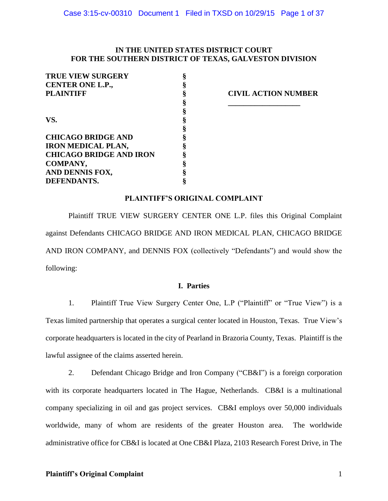# **IN THE UNITED STATES DISTRICT COURT FOR THE SOUTHERN DISTRICT OF TEXAS, GALVESTON DIVISION**

| <b>TRUE VIEW SURGERY</b>       |                         |
|--------------------------------|-------------------------|
| CENTER ONE L.P.,               |                         |
| <b>PLAINTIFF</b>               | <b>CIVIL ACTION NUM</b> |
|                                |                         |
|                                |                         |
| VS.                            |                         |
|                                |                         |
| <b>CHICAGO BRIDGE AND</b>      |                         |
| <b>IRON MEDICAL PLAN,</b>      |                         |
| <b>CHICAGO BRIDGE AND IRON</b> |                         |
| COMPANY,                       |                         |
| AND DENNIS FOX,                |                         |
| DEFENDANTS.                    |                         |

**PLAINTIFF § CIVIL ACTION NUMBER**

# **PLAINTIFF'S ORIGINAL COMPLAINT**

Plaintiff TRUE VIEW SURGERY CENTER ONE L.P. files this Original Complaint against Defendants CHICAGO BRIDGE AND IRON MEDICAL PLAN, CHICAGO BRIDGE AND IRON COMPANY, and DENNIS FOX (collectively "Defendants") and would show the following:

# **I. Parties**

1. Plaintiff True View Surgery Center One, L.P ("Plaintiff" or "True View") is a Texas limited partnership that operates a surgical center located in Houston, Texas. True View's corporate headquarters is located in the city of Pearland in Brazoria County, Texas. Plaintiff is the lawful assignee of the claims asserted herein.

2. Defendant Chicago Bridge and Iron Company ("CB&I") is a foreign corporation with its corporate headquarters located in The Hague, Netherlands. CB&I is a multinational company specializing in oil and gas project services. CB&I employs over 50,000 individuals worldwide, many of whom are residents of the greater Houston area. The worldwide administrative office for CB&I is located at One CB&I Plaza, 2103 Research Forest Drive, in The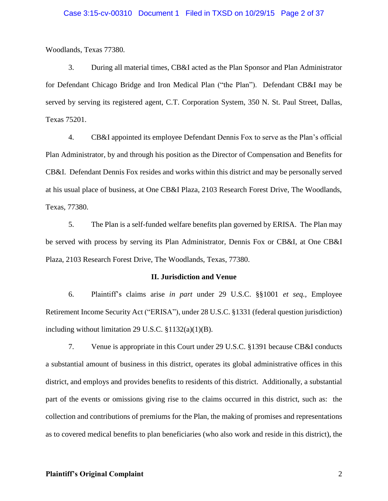### Case 3:15-cv-00310 Document 1 Filed in TXSD on 10/29/15 Page 2 of 37

Woodlands, Texas 77380.

3. During all material times, CB&I acted as the Plan Sponsor and Plan Administrator for Defendant Chicago Bridge and Iron Medical Plan ("the Plan"). Defendant CB&I may be served by serving its registered agent, C.T. Corporation System, 350 N. St. Paul Street, Dallas, Texas 75201.

4. CB&I appointed its employee Defendant Dennis Fox to serve as the Plan's official Plan Administrator, by and through his position as the Director of Compensation and Benefits for CB&I. Defendant Dennis Fox resides and works within this district and may be personally served at his usual place of business, at One CB&I Plaza, 2103 Research Forest Drive, The Woodlands, Texas, 77380.

5. The Plan is a self-funded welfare benefits plan governed by ERISA. The Plan may be served with process by serving its Plan Administrator, Dennis Fox or CB&I, at One CB&I Plaza, 2103 Research Forest Drive, The Woodlands, Texas, 77380.

#### **II. Jurisdiction and Venue**

6. Plaintiff's claims arise *in part* under 29 U.S.C. §§1001 *et seq.,* Employee Retirement Income Security Act ("ERISA"), under 28 U.S.C. §1331 (federal question jurisdiction) including without limitation 29 U.S.C.  $$1132(a)(1)(B)$ .

7. Venue is appropriate in this Court under 29 U.S.C. §1391 because CB&I conducts a substantial amount of business in this district, operates its global administrative offices in this district, and employs and provides benefits to residents of this district. Additionally, a substantial part of the events or omissions giving rise to the claims occurred in this district, such as: the collection and contributions of premiums for the Plan, the making of promises and representations as to covered medical benefits to plan beneficiaries (who also work and reside in this district), the

# **Plaintiff's Original Complaint** 2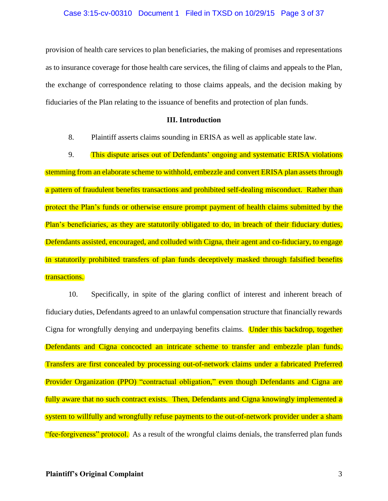#### Case 3:15-cv-00310 Document 1 Filed in TXSD on 10/29/15 Page 3 of 37

provision of health care services to plan beneficiaries, the making of promises and representations as to insurance coverage for those health care services, the filing of claims and appeals to the Plan, the exchange of correspondence relating to those claims appeals, and the decision making by fiduciaries of the Plan relating to the issuance of benefits and protection of plan funds.

# **III. Introduction**

8. Plaintiff asserts claims sounding in ERISA as well as applicable state law.

9. This dispute arises out of Defendants' ongoing and systematic ERISA violations stemming from an elaborate scheme to withhold, embezzle and convert ERISA plan assets through a pattern of fraudulent benefits transactions and prohibited self-dealing misconduct. Rather than protect the Plan's funds or otherwise ensure prompt payment of health claims submitted by the Plan's beneficiaries, as they are statutorily obligated to do, in breach of their fiduciary duties, Defendants assisted, encouraged, and colluded with Cigna, their agent and co-fiduciary, to engage in statutorily prohibited transfers of plan funds deceptively masked through falsified benefits transactions.

10. Specifically, in spite of the glaring conflict of interest and inherent breach of fiduciary duties, Defendants agreed to an unlawful compensation structure that financially rewards Cigna for wrongfully denying and underpaying benefits claims. Under this backdrop, together Defendants and Cigna concocted an intricate scheme to transfer and embezzle plan funds. Transfers are first concealed by processing out-of-network claims under a fabricated Preferred Provider Organization (PPO) "contractual obligation," even though Defendants and Cigna are fully aware that no such contract exists. Then, Defendants and Cigna knowingly implemented a system to willfully and wrongfully refuse payments to the out-of-network provider under a sham "fee-forgiveness" protocol. As a result of the wrongful claims denials, the transferred plan funds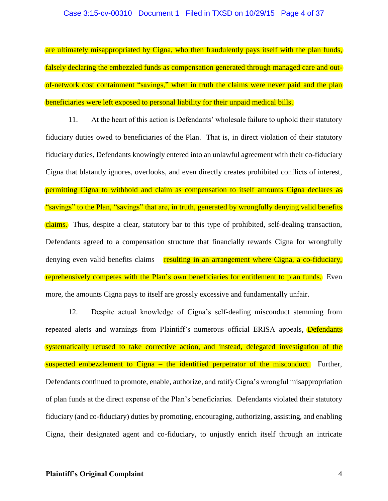#### Case 3:15-cv-00310 Document 1 Filed in TXSD on 10/29/15 Page 4 of 37

are ultimately misappropriated by Cigna, who then fraudulently pays itself with the plan funds, falsely declaring the embezzled funds as compensation generated through managed care and outof-network cost containment "savings," when in truth the claims were never paid and the plan beneficiaries were left exposed to personal liability for their unpaid medical bills.

11. At the heart of this action is Defendants' wholesale failure to uphold their statutory fiduciary duties owed to beneficiaries of the Plan. That is, in direct violation of their statutory fiduciary duties, Defendants knowingly entered into an unlawful agreement with their co-fiduciary Cigna that blatantly ignores, overlooks, and even directly creates prohibited conflicts of interest, permitting Cigna to withhold and claim as compensation to itself amounts Cigna declares as "savings" to the Plan, "savings" that are, in truth, generated by wrongfully denying valid benefits claims. Thus, despite a clear, statutory bar to this type of prohibited, self-dealing transaction, Defendants agreed to a compensation structure that financially rewards Cigna for wrongfully denying even valid benefits claims – resulting in an arrangement where Cigna, a co-fiduciary, reprehensively competes with the Plan's own beneficiaries for entitlement to plan funds. Even more, the amounts Cigna pays to itself are grossly excessive and fundamentally unfair.

12. Despite actual knowledge of Cigna's self-dealing misconduct stemming from repeated alerts and warnings from Plaintiff's numerous official ERISA appeals, Defendants systematically refused to take corrective action, and instead, delegated investigation of the suspected embezzlement to Cigna – the identified perpetrator of the misconduct. Further, Defendants continued to promote, enable, authorize, and ratify Cigna's wrongful misappropriation of plan funds at the direct expense of the Plan's beneficiaries. Defendants violated their statutory fiduciary (and co-fiduciary) duties by promoting, encouraging, authorizing, assisting, and enabling Cigna, their designated agent and co-fiduciary, to unjustly enrich itself through an intricate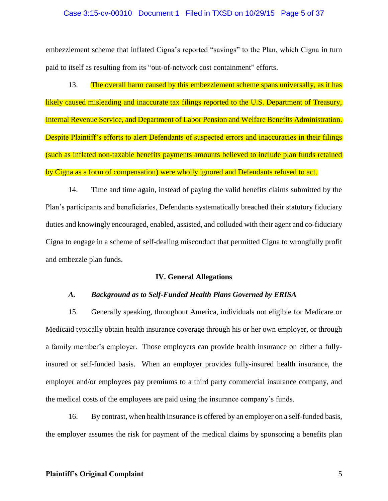#### Case 3:15-cv-00310 Document 1 Filed in TXSD on 10/29/15 Page 5 of 37

embezzlement scheme that inflated Cigna's reported "savings" to the Plan, which Cigna in turn paid to itself as resulting from its "out-of-network cost containment" efforts.

13. The overall harm caused by this embezzlement scheme spans universally, as it has likely caused misleading and inaccurate tax filings reported to the U.S. Department of Treasury, Internal Revenue Service, and Department of Labor Pension and Welfare Benefits Administration. Despite Plaintiff's efforts to alert Defendants of suspected errors and inaccuracies in their filings (such as inflated non-taxable benefits payments amounts believed to include plan funds retained by Cigna as a form of compensation) were wholly ignored and Defendants refused to act.

14. Time and time again, instead of paying the valid benefits claims submitted by the Plan's participants and beneficiaries, Defendants systematically breached their statutory fiduciary duties and knowingly encouraged, enabled, assisted, and colluded with their agent and co-fiduciary Cigna to engage in a scheme of self-dealing misconduct that permitted Cigna to wrongfully profit and embezzle plan funds.

# **IV. General Allegations**

### *A. Background as to Self-Funded Health Plans Governed by ERISA*

15. Generally speaking, throughout America, individuals not eligible for Medicare or Medicaid typically obtain health insurance coverage through his or her own employer, or through a family member's employer. Those employers can provide health insurance on either a fullyinsured or self-funded basis. When an employer provides fully-insured health insurance, the employer and/or employees pay premiums to a third party commercial insurance company, and the medical costs of the employees are paid using the insurance company's funds.

16. By contrast, when health insurance is offered by an employer on a self-funded basis, the employer assumes the risk for payment of the medical claims by sponsoring a benefits plan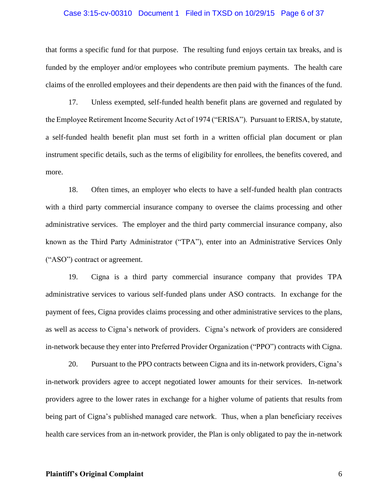## Case 3:15-cv-00310 Document 1 Filed in TXSD on 10/29/15 Page 6 of 37

that forms a specific fund for that purpose. The resulting fund enjoys certain tax breaks, and is funded by the employer and/or employees who contribute premium payments. The health care claims of the enrolled employees and their dependents are then paid with the finances of the fund.

17. Unless exempted, self-funded health benefit plans are governed and regulated by the Employee Retirement Income Security Act of 1974 ("ERISA"). Pursuant to ERISA, by statute, a self-funded health benefit plan must set forth in a written official plan document or plan instrument specific details, such as the terms of eligibility for enrollees, the benefits covered, and more.

18. Often times, an employer who elects to have a self-funded health plan contracts with a third party commercial insurance company to oversee the claims processing and other administrative services. The employer and the third party commercial insurance company, also known as the Third Party Administrator ("TPA"), enter into an Administrative Services Only ("ASO") contract or agreement.

19. Cigna is a third party commercial insurance company that provides TPA administrative services to various self-funded plans under ASO contracts. In exchange for the payment of fees, Cigna provides claims processing and other administrative services to the plans, as well as access to Cigna's network of providers. Cigna's network of providers are considered in-network because they enter into Preferred Provider Organization ("PPO") contracts with Cigna.

20. Pursuant to the PPO contracts between Cigna and its in-network providers, Cigna's in-network providers agree to accept negotiated lower amounts for their services. In-network providers agree to the lower rates in exchange for a higher volume of patients that results from being part of Cigna's published managed care network. Thus, when a plan beneficiary receives health care services from an in-network provider, the Plan is only obligated to pay the in-network

### **Plaintiff's Original Complaint** 6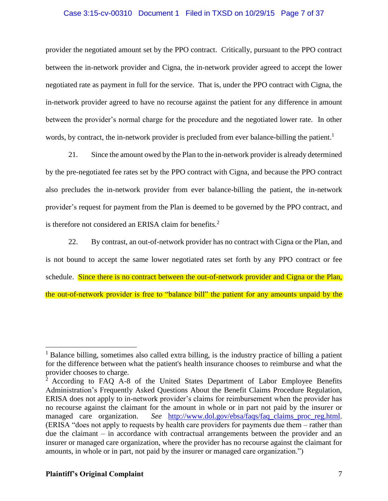# Case 3:15-cv-00310 Document 1 Filed in TXSD on 10/29/15 Page 7 of 37

provider the negotiated amount set by the PPO contract. Critically, pursuant to the PPO contract between the in-network provider and Cigna, the in-network provider agreed to accept the lower negotiated rate as payment in full for the service. That is, under the PPO contract with Cigna, the in-network provider agreed to have no recourse against the patient for any difference in amount between the provider's normal charge for the procedure and the negotiated lower rate. In other words, by contract, the in-network provider is precluded from ever balance-billing the patient.<sup>1</sup>

21. Since the amount owed by the Plan to the in-network provider is already determined by the pre-negotiated fee rates set by the PPO contract with Cigna, and because the PPO contract also precludes the in-network provider from ever balance-billing the patient, the in-network provider's request for payment from the Plan is deemed to be governed by the PPO contract, and is therefore not considered an ERISA claim for benefits.<sup>2</sup>

22. By contrast, an out-of-network provider has no contract with Cigna or the Plan, and is not bound to accept the same lower negotiated rates set forth by any PPO contract or fee schedule. Since there is no contract between the out-of-network provider and Cigna or the Plan, the out-of-network provider is free to "balance bill" the patient for any amounts unpaid by the

<sup>&</sup>lt;sup>1</sup> Balance billing, sometimes also called extra billing, is the industry practice of billing a patient for the difference between what the patient's health insurance chooses to reimburse and what the provider chooses to charge.

 $2$  According to FAQ A-8 of the United States Department of Labor Employee Benefits Administration's Frequently Asked Questions About the Benefit Claims Procedure Regulation, ERISA does not apply to in-network provider's claims for reimbursement when the provider has no recourse against the claimant for the amount in whole or in part not paid by the insurer or managed care organization. *See* [http://www.dol.gov/ebsa/faqs/faq\\_claims\\_proc\\_reg.html.](http://www.dol.gov/ebsa/faqs/faq_claims_proc_reg.html) (ERISA "does not apply to requests by health care providers for payments due them – rather than due the claimant – in accordance with contractual arrangements between the provider and an insurer or managed care organization, where the provider has no recourse against the claimant for amounts, in whole or in part, not paid by the insurer or managed care organization.")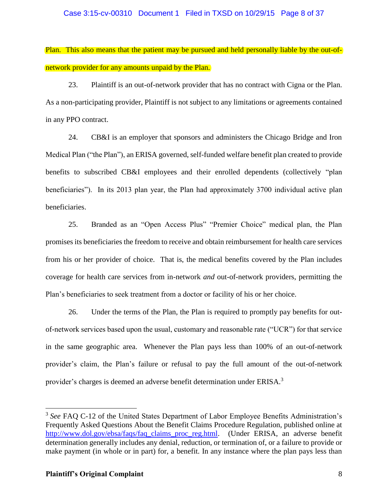# Case 3:15-cv-00310 Document 1 Filed in TXSD on 10/29/15 Page 8 of 37

Plan. This also means that the patient may be pursued and held personally liable by the out-ofnetwork provider for any amounts unpaid by the Plan.

23. Plaintiff is an out-of-network provider that has no contract with Cigna or the Plan. As a non-participating provider, Plaintiff is not subject to any limitations or agreements contained in any PPO contract.

24. CB&I is an employer that sponsors and administers the Chicago Bridge and Iron Medical Plan ("the Plan"), an ERISA governed, self-funded welfare benefit plan created to provide benefits to subscribed CB&I employees and their enrolled dependents (collectively "plan beneficiaries"). In its 2013 plan year, the Plan had approximately 3700 individual active plan beneficiaries.

25. Branded as an "Open Access Plus" "Premier Choice" medical plan, the Plan promises its beneficiaries the freedom to receive and obtain reimbursement for health care services from his or her provider of choice. That is, the medical benefits covered by the Plan includes coverage for health care services from in-network *and* out-of-network providers, permitting the Plan's beneficiaries to seek treatment from a doctor or facility of his or her choice.

26. Under the terms of the Plan, the Plan is required to promptly pay benefits for outof-network services based upon the usual, customary and reasonable rate ("UCR") for that service in the same geographic area. Whenever the Plan pays less than 100% of an out-of-network provider's claim, the Plan's failure or refusal to pay the full amount of the out-of-network provider's charges is deemed an adverse benefit determination under ERISA.<sup>3</sup>

<sup>&</sup>lt;sup>3</sup> See FAQ C-12 of the United States Department of Labor Employee Benefits Administration's Frequently Asked Questions About the Benefit Claims Procedure Regulation, published online at [http://www.dol.gov/ebsa/faqs/faq\\_claims\\_proc\\_reg.html.](http://www.dol.gov/ebsa/faqs/faq_claims_proc_reg.html) (Under ERISA, an adverse benefit determination generally includes any denial, reduction, or termination of, or a failure to provide or make payment (in whole or in part) for, a benefit. In any instance where the plan pays less than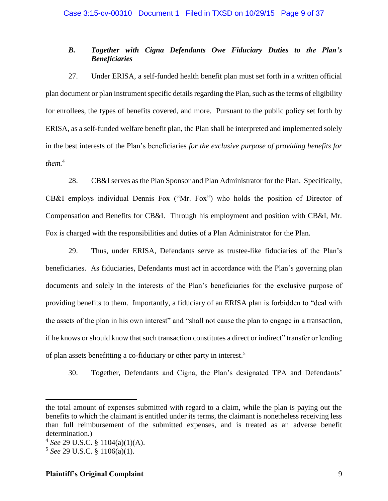# *B. Together with Cigna Defendants Owe Fiduciary Duties to the Plan's Beneficiaries*

27. Under ERISA, a self-funded health benefit plan must set forth in a written official plan document or plan instrument specific details regarding the Plan, such as the terms of eligibility for enrollees, the types of benefits covered, and more. Pursuant to the public policy set forth by ERISA, as a self-funded welfare benefit plan, the Plan shall be interpreted and implemented solely in the best interests of the Plan's beneficiaries *for the exclusive purpose of providing benefits for them.* 4

28. CB&I serves as the Plan Sponsor and Plan Administrator for the Plan. Specifically, CB&I employs individual Dennis Fox ("Mr. Fox") who holds the position of Director of Compensation and Benefits for CB&I. Through his employment and position with CB&I, Mr. Fox is charged with the responsibilities and duties of a Plan Administrator for the Plan.

29. Thus, under ERISA, Defendants serve as trustee-like fiduciaries of the Plan's beneficiaries. As fiduciaries, Defendants must act in accordance with the Plan's governing plan documents and solely in the interests of the Plan's beneficiaries for the exclusive purpose of providing benefits to them. Importantly, a fiduciary of an ERISA plan is forbidden to "deal with the assets of the plan in his own interest" and "shall not cause the plan to engage in a transaction, if he knows or should know that such transaction constitutes a direct or indirect" transfer or lending of plan assets benefitting a co-fiduciary or other party in interest.<sup>5</sup>

30. Together, Defendants and Cigna, the Plan's designated TPA and Defendants'

 $\overline{a}$ 

# **Plaintiff's Original Complaint** 9

the total amount of expenses submitted with regard to a claim, while the plan is paying out the benefits to which the claimant is entitled under its terms, the claimant is nonetheless receiving less than full reimbursement of the submitted expenses, and is treated as an adverse benefit determination.)

<sup>4</sup> *See* 29 U.S.C. § 1104(a)(1)(A).

<sup>5</sup> *See* 29 U.S.C. § 1106(a)(1).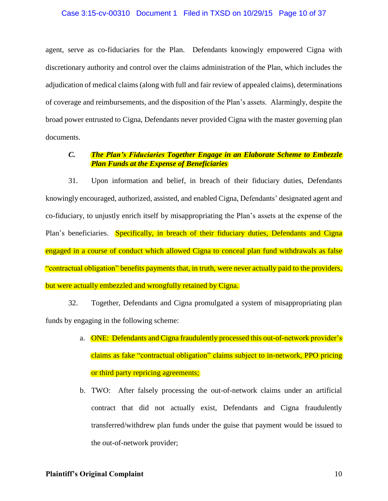## Case 3:15-cv-00310 Document 1 Filed in TXSD on 10/29/15 Page 10 of 37

agent, serve as co-fiduciaries for the Plan. Defendants knowingly empowered Cigna with discretionary authority and control over the claims administration of the Plan, which includes the adjudication of medical claims (along with full and fair review of appealed claims), determinations of coverage and reimbursements, and the disposition of the Plan's assets. Alarmingly, despite the broad power entrusted to Cigna, Defendants never provided Cigna with the master governing plan documents.

# *C. The Plan's Fiduciaries Together Engage in an Elaborate Scheme to Embezzle Plan Funds at the Expense of Beneficiaries*

31. Upon information and belief, in breach of their fiduciary duties, Defendants knowingly encouraged, authorized, assisted, and enabled Cigna, Defendants' designated agent and co-fiduciary, to unjustly enrich itself by misappropriating the Plan's assets at the expense of the Plan's beneficiaries. Specifically, in breach of their fiduciary duties, Defendants and Cigna engaged in a course of conduct which allowed Cigna to conceal plan fund withdrawals as false "contractual obligation" benefits payments that, in truth, were never actually paid to the providers, but were actually embezzled and wrongfully retained by Cigna.

32. Together, Defendants and Cigna promulgated a system of misappropriating plan funds by engaging in the following scheme:

- a. **ONE:** Defendants and Cigna fraudulently processed this out-of-network provider's claims as fake "contractual obligation" claims subject to in-network, PPO pricing or third party repricing agreements;
- b. TWO: After falsely processing the out-of-network claims under an artificial contract that did not actually exist, Defendants and Cigna fraudulently transferred/withdrew plan funds under the guise that payment would be issued to the out-of-network provider;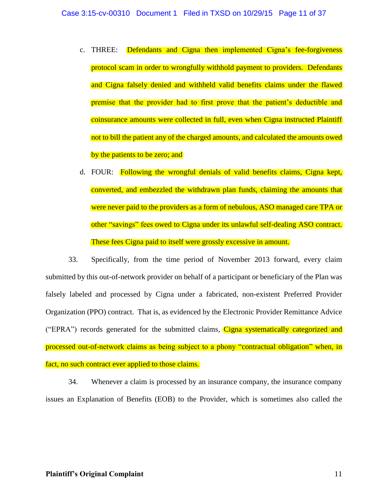- c. THREE: Defendants and Cigna then implemented Cigna's fee-forgiveness protocol scam in order to wrongfully withhold payment to providers. Defendants and Cigna falsely denied and withheld valid benefits claims under the flawed premise that the provider had to first prove that the patient's deductible and coinsurance amounts were collected in full, even when Cigna instructed Plaintiff not to bill the patient any of the charged amounts, and calculated the amounts owed by the patients to be zero; and
- d. FOUR: Following the wrongful denials of valid benefits claims, Cigna kept, converted, and embezzled the withdrawn plan funds, claiming the amounts that were never paid to the providers as a form of nebulous, ASO managed care TPA or other "savings" fees owed to Cigna under its unlawful self-dealing ASO contract. These fees Cigna paid to itself were grossly excessive in amount.

33. Specifically, from the time period of November 2013 forward, every claim submitted by this out-of-network provider on behalf of a participant or beneficiary of the Plan was falsely labeled and processed by Cigna under a fabricated, non-existent Preferred Provider Organization (PPO) contract. That is, as evidenced by the Electronic Provider Remittance Advice ("EPRA") records generated for the submitted claims, Cigna systematically categorized and processed out-of-network claims as being subject to a phony "contractual obligation" when, in fact, no such contract ever applied to those claims.

34. Whenever a claim is processed by an insurance company, the insurance company issues an Explanation of Benefits (EOB) to the Provider, which is sometimes also called the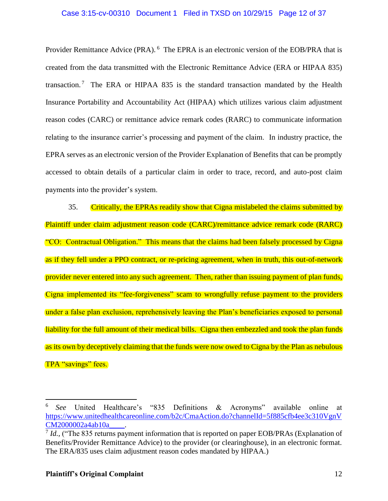# Case 3:15-cv-00310 Document 1 Filed in TXSD on 10/29/15 Page 12 of 37

Provider Remittance Advice (PRA). <sup>6</sup> The EPRA is an electronic version of the EOB/PRA that is created from the data transmitted with the Electronic Remittance Advice (ERA or HIPAA 835) transaction.<sup>7</sup> The ERA or HIPAA 835 is the standard transaction mandated by the Health Insurance Portability and Accountability Act (HIPAA) which utilizes various claim adjustment reason codes (CARC) or remittance advice remark codes (RARC) to communicate information relating to the insurance carrier's processing and payment of the claim. In industry practice, the EPRA serves as an electronic version of the Provider Explanation of Benefits that can be promptly accessed to obtain details of a particular claim in order to trace, record, and auto-post claim payments into the provider's system.

35. Critically, the EPRAs readily show that Cigna mislabeled the claims submitted by Plaintiff under claim adjustment reason code (CARC)/remittance advice remark code (RARC) "CO: Contractual Obligation." This means that the claims had been falsely processed by Cigna as if they fell under a PPO contract, or re-pricing agreement, when in truth, this out-of-network provider never entered into any such agreement. Then, rather than issuing payment of plan funds, Cigna implemented its "fee-forgiveness" scam to wrongfully refuse payment to the providers under a false plan exclusion, reprehensively leaving the Plan's beneficiaries exposed to personal liability for the full amount of their medical bills. Cigna then embezzled and took the plan funds as its own by deceptively claiming that the funds were now owed to Cigna by the Plan as nebulous TPA "savings" fees.

<sup>6</sup> *See* United Healthcare's "835 Definitions & Acronyms" available online at [https://www.unitedhealthcareonline.com/b2c/CmaAction.do?channelId=5f885cfb4ee3c310VgnV](https://www.unitedhealthcareonline.com/b2c/CmaAction.do?channelId=5f885cfb4ee3c310VgnVCM2000002a4ab10a____) [CM2000002a4ab10a\\_\\_\\_\\_.](https://www.unitedhealthcareonline.com/b2c/CmaAction.do?channelId=5f885cfb4ee3c310VgnVCM2000002a4ab10a____)

<sup>&</sup>lt;sup>7</sup> *Id.*, ("The 835 returns payment information that is reported on paper EOB/PRAs (Explanation of Benefits/Provider Remittance Advice) to the provider (or clearinghouse), in an electronic format. The ERA/835 uses claim adjustment reason codes mandated by HIPAA.)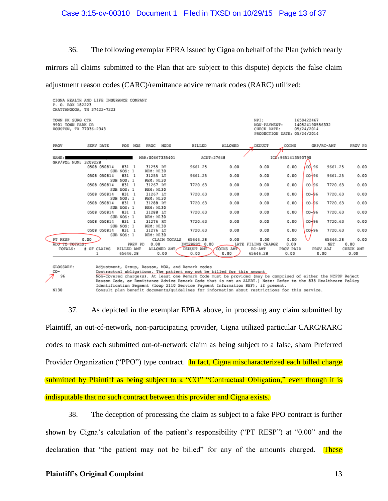# Case 3:15-cv-00310 Document 1 Filed in TXSD on 10/29/15 Page 13 of 37

36. The following exemplar EPRA issued by Cigna on behalf of the Plan (which nearly

mirrors all claims submitted to the Plan that are subject to this dispute) depicts the false claim

adjustment reason codes (CARC)/remittance advice remark codes (RARC) utilized:

| TOWN PK SURG CTR<br>9901 TOWN PARK DR<br>HOUSTON, TX 77036-2343 |             |                            |                              |         |                                   |              |                             |              | NPI:<br>1659422467<br>NON-PAYMENT:<br>140524190556332<br>CHECK DATE:<br>05/24/2014<br>PRODUCTION DATE: 05/24/2014 |                    |                        |                    |                   |  |
|-----------------------------------------------------------------|-------------|----------------------------|------------------------------|---------|-----------------------------------|--------------|-----------------------------|--------------|-------------------------------------------------------------------------------------------------------------------|--------------------|------------------------|--------------------|-------------------|--|
| PROV                                                            |             | SERV DATE                  | POS                          | NOS     | PROC                              | MODS         | BILLED                      | ALLOWED      | DEDUCT                                                                                                            | COINS              | GRP/RC-AMT             |                    | PROV PD           |  |
| NAME:                                                           |             |                            |                              |         | MBR: U0667335401                  |              | ACNT: 27648                 |              |                                                                                                                   | ICX: 9651413593790 |                        |                    |                   |  |
| GRP/POL NUM: 3209228                                            |             | 0508 050814                | 831 1<br>SUB NOS: 1          |         | 31255 RT<br>REM: N130             |              | 9661.25                     | 0.00         | 0.00                                                                                                              | 0.00               | $CO - 96$              | 9661.25            | 0.00              |  |
|                                                                 |             | 0508 050814                | 831 1<br>SUB NOS: 1          |         | 31255 LT<br>REM: N130             |              | 9661.25                     | 0.00         | 0.00                                                                                                              | 0.00               | CO-96                  | 9661.25            | 0.00              |  |
|                                                                 |             | 0508 050814                | 831 1<br>SUB NOS: 1          |         | 31267 RT<br>REM: N130             |              | 7720.63                     | 0.00         | 0.00                                                                                                              | 0.00               | $CO - 96$              | 7720.63            | 0.00              |  |
|                                                                 |             | 0508 050814                | 831 1<br>SUB NOS: 1          |         | 31267 LT<br>REM: N130             |              | 7720.63                     | 0.00         | 0.00                                                                                                              | 0.00               | $CO - 96$              | 7720.63            | 0.00              |  |
|                                                                 |             | 0508 050814                | 831 1<br>SUB NOS: 1          |         | 31288 RT<br>REM: N130             |              | 7720.63                     | 0.00         | 0.00                                                                                                              | 0.00               | $CO - 96$              | 7720.63            | 0.00              |  |
|                                                                 |             | 0508 050814                | 831 1<br>SUB NOS: 1          |         | 31288 LT<br>REM: N130             |              | 7720.63                     | 0.00         | 0.00                                                                                                              | 0.00               | $CO - 96$              | 7720.63            | 0.00              |  |
|                                                                 |             | 0508 050814<br>0508 050814 | 831 1<br>SUB NOS: 1<br>831 1 |         | 31276 RT<br>REM: N130<br>31276 LT |              | 7720.63<br>7720.63          | 0.00<br>0.00 | 0.00<br>0.00                                                                                                      | 0.00<br>0.00       | $CO - 96$<br>$00 + 96$ | 7720.63<br>7720.63 | 0.00<br>0.00      |  |
| PT RESP                                                         | 0.00        |                            | SUB NOS: 1                   |         | REM: N130                         | CLAIM TOTALS | 65646.28                    | 0.00         | 0.00                                                                                                              | 0.00               |                        | 65646.28           | 0.00              |  |
| ADJ TO TOTALS:<br>TOTALS:                                       | # OF CLAIMS |                            | BILLED AMT                   | PREV PD | 0.00                              | ALLOWED AMT  | INTEREST 0.00<br>DEDUCT AMT | COINS AMT    | LATE FILING CHARGE<br>RC-AMT                                                                                      | 0.00<br>PROV PAID  |                        | NET<br>PROV ADJ    | 0.00<br>CHECK AMT |  |
|                                                                 |             | ı                          | 65646.28                     |         |                                   | 0.00         | 0.00                        | 0.00         | 65646.28                                                                                                          | 0.00               |                        | 0.00               | 0.00              |  |



Contractual obligations. The patient may not be billed for this amount Non-covered charge(s). At least one Remark Code must be provided (may be comprised of either the NCPDP Reject<br>Reason Code, or Remittance Advice Remark Code hust be provided (may be comprised of either the NCPDP Reject Identification Segment (loop 2110 Service Payment Information REF), if present. Consult plan benefit documents/guidelines for information about restrictions for this service.

37. As depicted in the exemplar EPRA above, in processing any claim submitted by Plaintiff, an out-of-network, non-participating provider, Cigna utilized particular CARC/RARC codes to mask each submitted out-of-network claim as being subject to a false, sham Preferred Provider Organization ("PPO") type contract. In fact, Cigna mischaracterized each billed charge submitted by Plaintiff as being subject to a "CO" "Contractual Obligation," even though it is indisputable that no such contract between this provider and Cigna exists.

38. The deception of processing the claim as subject to a fake PPO contract is further shown by Cigna's calculation of the patient's responsibility ("PT RESP") at "0.00" and the declaration that "the patient may not be billed" for any of the amounts charged. These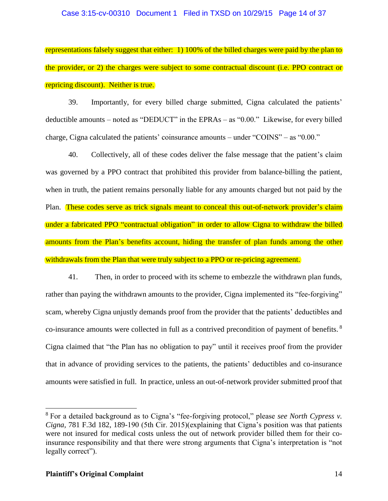## Case 3:15-cv-00310 Document 1 Filed in TXSD on 10/29/15 Page 14 of 37

representations falsely suggest that either: 1) 100% of the billed charges were paid by the plan to the provider, or 2) the charges were subject to some contractual discount (i.e. PPO contract or repricing discount). Neither is true.

39. Importantly, for every billed charge submitted, Cigna calculated the patients' deductible amounts – noted as "DEDUCT" in the EPRAs – as "0.00." Likewise, for every billed charge, Cigna calculated the patients' coinsurance amounts – under "COINS" – as "0.00."

40. Collectively, all of these codes deliver the false message that the patient's claim was governed by a PPO contract that prohibited this provider from balance-billing the patient, when in truth, the patient remains personally liable for any amounts charged but not paid by the Plan. These codes serve as trick signals meant to conceal this out-of-network provider's claim under a fabricated PPO "contractual obligation" in order to allow Cigna to withdraw the billed amounts from the Plan's benefits account, hiding the transfer of plan funds among the other withdrawals from the Plan that were truly subject to a PPO or re-pricing agreement.

41. Then, in order to proceed with its scheme to embezzle the withdrawn plan funds, rather than paying the withdrawn amounts to the provider, Cigna implemented its "fee-forgiving" scam, whereby Cigna unjustly demands proof from the provider that the patients' deductibles and co-insurance amounts were collected in full as a contrived precondition of payment of benefits. <sup>8</sup> Cigna claimed that "the Plan has no obligation to pay" until it receives proof from the provider that in advance of providing services to the patients, the patients' deductibles and co-insurance amounts were satisfied in full. In practice, unless an out-of-network provider submitted proof that

<sup>8</sup> For a detailed background as to Cigna's "fee-forgiving protocol," please *see North Cypress v. Cigna,* 781 F.3d 182, 189-190 (5th Cir. 2015)(explaining that Cigna's position was that patients were not insured for medical costs unless the out of network provider billed them for their coinsurance responsibility and that there were strong arguments that Cigna's interpretation is "not legally correct").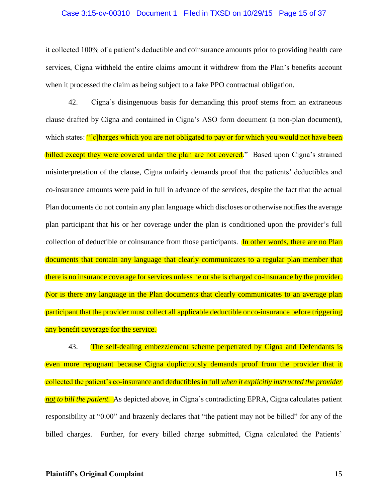#### Case 3:15-cv-00310 Document 1 Filed in TXSD on 10/29/15 Page 15 of 37

it collected 100% of a patient's deductible and coinsurance amounts prior to providing health care services, Cigna withheld the entire claims amount it withdrew from the Plan's benefits account when it processed the claim as being subject to a fake PPO contractual obligation.

42. Cigna's disingenuous basis for demanding this proof stems from an extraneous clause drafted by Cigna and contained in Cigna's ASO form document (a non-plan document), which states: "[c]harges which you are not obligated to pay or for which you would not have been billed except they were covered under the plan are not covered." Based upon Cigna's strained misinterpretation of the clause, Cigna unfairly demands proof that the patients' deductibles and co-insurance amounts were paid in full in advance of the services, despite the fact that the actual Plan documents do not contain any plan language which discloses or otherwise notifies the average plan participant that his or her coverage under the plan is conditioned upon the provider's full collection of deductible or coinsurance from those participants. In other words, there are no Plan documents that contain any language that clearly communicates to a regular plan member that there is no insurance coverage for services unless he or she is charged co-insurance by the provider. Nor is there any language in the Plan documents that clearly communicates to an average plan participant that the provider must collect all applicable deductible or co-insurance before triggering any benefit coverage for the service.

43. The self-dealing embezzlement scheme perpetrated by Cigna and Defendants is even more repugnant because Cigna duplicitously demands proof from the provider that it collected the patient's co-insurance and deductibles in full *when it explicitly instructed the provider not to bill the patient.* As depicted above, in Cigna's contradicting EPRA, Cigna calculates patient responsibility at "0.00" and brazenly declares that "the patient may not be billed" for any of the billed charges. Further, for every billed charge submitted, Cigna calculated the Patients'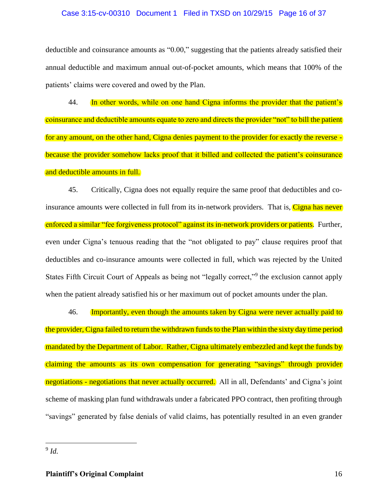### Case 3:15-cv-00310 Document 1 Filed in TXSD on 10/29/15 Page 16 of 37

deductible and coinsurance amounts as "0.00," suggesting that the patients already satisfied their annual deductible and maximum annual out-of-pocket amounts, which means that 100% of the patients' claims were covered and owed by the Plan.

44. In other words, while on one hand Cigna informs the provider that the patient's coinsurance and deductible amounts equate to zero and directs the provider "not" to bill the patient for any amount, on the other hand, Cigna denies payment to the provider for exactly the reverse because the provider somehow lacks proof that it billed and collected the patient's coinsurance and deductible amounts in full.

45. Critically, Cigna does not equally require the same proof that deductibles and coinsurance amounts were collected in full from its in-network providers. That is, Cigna has never enforced a similar "fee forgiveness protocol" against its in-network providers or patients. Further, even under Cigna's tenuous reading that the "not obligated to pay" clause requires proof that deductibles and co-insurance amounts were collected in full, which was rejected by the United States Fifth Circuit Court of Appeals as being not "legally correct,"<sup>9</sup> the exclusion cannot apply when the patient already satisfied his or her maximum out of pocket amounts under the plan.

46. Importantly, even though the amounts taken by Cigna were never actually paid to the provider, Cigna failed to return the withdrawn funds to the Plan within the sixty day time period mandated by the Department of Labor. Rather, Cigna ultimately embezzled and kept the funds by claiming the amounts as its own compensation for generating "savings" through provider negotiations - negotiations that never actually occurred. All in all, Defendants' and Cigna's joint scheme of masking plan fund withdrawals under a fabricated PPO contract, then profiting through "savings" generated by false denials of valid claims, has potentially resulted in an even grander

9 *Id.*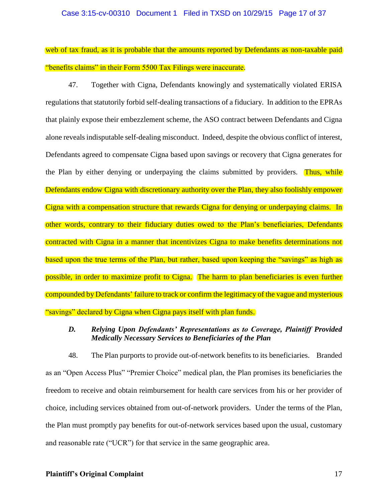#### Case 3:15-cv-00310 Document 1 Filed in TXSD on 10/29/15 Page 17 of 37

web of tax fraud, as it is probable that the amounts reported by Defendants as non-taxable paid "benefits claims" in their Form 5500 Tax Filings were inaccurate.

47. Together with Cigna, Defendants knowingly and systematically violated ERISA regulations that statutorily forbid self-dealing transactions of a fiduciary. In addition to the EPRAs that plainly expose their embezzlement scheme, the ASO contract between Defendants and Cigna alone revealsindisputable self-dealing misconduct. Indeed, despite the obvious conflict of interest, Defendants agreed to compensate Cigna based upon savings or recovery that Cigna generates for the Plan by either denying or underpaying the claims submitted by providers. Thus, while Defendants endow Cigna with discretionary authority over the Plan, they also foolishly empower Cigna with a compensation structure that rewards Cigna for denying or underpaying claims. In other words, contrary to their fiduciary duties owed to the Plan's beneficiaries, Defendants contracted with Cigna in a manner that incentivizes Cigna to make benefits determinations not based upon the true terms of the Plan, but rather, based upon keeping the "savings" as high as possible, in order to maximize profit to Cigna. The harm to plan beneficiaries is even further compounded by Defendants' failure to track or confirm the legitimacy of the vague and mysterious "savings" declared by Cigna when Cigna pays itself with plan funds.

# *D. Relying Upon Defendants' Representations as to Coverage, Plaintiff Provided Medically Necessary Services to Beneficiaries of the Plan*

48. The Plan purports to provide out-of-network benefits to its beneficiaries. Branded as an "Open Access Plus" "Premier Choice" medical plan, the Plan promises its beneficiaries the freedom to receive and obtain reimbursement for health care services from his or her provider of choice, including services obtained from out-of-network providers. Under the terms of the Plan, the Plan must promptly pay benefits for out-of-network services based upon the usual, customary and reasonable rate ("UCR") for that service in the same geographic area.

# **Plaintiff's Original Complaint** 17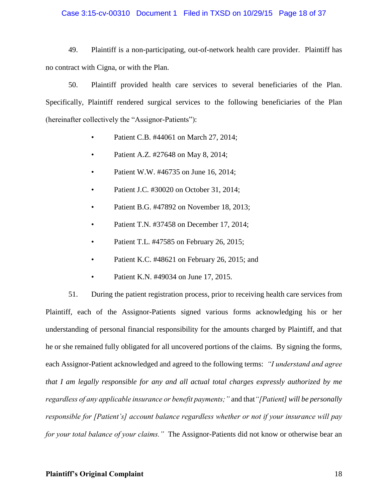## Case 3:15-cv-00310 Document 1 Filed in TXSD on 10/29/15 Page 18 of 37

49. Plaintiff is a non-participating, out-of-network health care provider. Plaintiff has no contract with Cigna, or with the Plan.

50. Plaintiff provided health care services to several beneficiaries of the Plan. Specifically, Plaintiff rendered surgical services to the following beneficiaries of the Plan (hereinafter collectively the "Assignor-Patients"):

- Patient C.B. #44061 on March 27, 2014;
- Patient A.Z. #27648 on May 8, 2014;
- Patient W.W. #46735 on June 16, 2014;
- Patient J.C. #30020 on October 31, 2014;
- Patient B.G. #47892 on November 18, 2013;
- Patient T.N. #37458 on December 17, 2014;
- Patient T.L. #47585 on February 26, 2015;
- Patient K.C. #48621 on February 26, 2015; and
- Patient K.N. #49034 on June 17, 2015.

51. During the patient registration process, prior to receiving health care services from Plaintiff, each of the Assignor-Patients signed various forms acknowledging his or her understanding of personal financial responsibility for the amounts charged by Plaintiff, and that he or she remained fully obligated for all uncovered portions of the claims. By signing the forms, each Assignor-Patient acknowledged and agreed to the following terms: *"I understand and agree that I am legally responsible for any and all actual total charges expressly authorized by me regardless of any applicable insurance or benefit payments;"* and that*"[Patient] will be personally responsible for [Patient's] account balance regardless whether or not if your insurance will pay for your total balance of your claims."* The Assignor-Patients did not know or otherwise bear an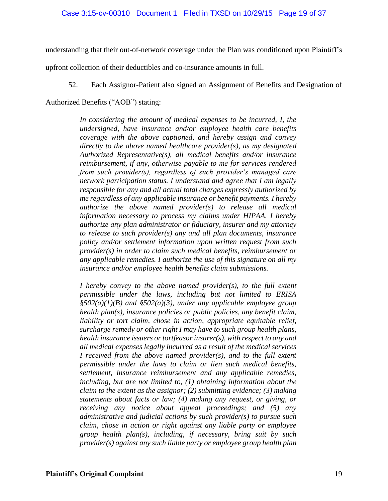understanding that their out-of-network coverage under the Plan was conditioned upon Plaintiff's

upfront collection of their deductibles and co-insurance amounts in full.

52. Each Assignor-Patient also signed an Assignment of Benefits and Designation of

Authorized Benefits ("AOB") stating:

*In considering the amount of medical expenses to be incurred, I, the undersigned, have insurance and/or employee health care benefits coverage with the above captioned, and hereby assign and convey directly to the above named healthcare provider(s), as my designated Authorized Representative(s), all medical benefits and/or insurance reimbursement, if any, otherwise payable to me for services rendered from such provider(s), regardless of such provider's managed care network participation status. I understand and agree that I am legally responsible for any and all actual total charges expressly authorized by me regardless of any applicable insurance or benefit payments. I hereby authorize the above named provider(s) to release all medical information necessary to process my claims under HIPAA. I hereby authorize any plan administrator or fiduciary, insurer and my attorney to release to such provider(s) any and all plan documents, insurance policy and/or settlement information upon written request from such provider(s) in order to claim such medical benefits, reimbursement or any applicable remedies. I authorize the use of this signature on all my insurance and/or employee health benefits claim submissions.*

*I hereby convey to the above named provider(s), to the full extent permissible under the laws, including but not limited to ERISA §502(a)(1)(B) and §502(a)(3), under any applicable employee group health plan(s), insurance policies or public policies, any benefit claim, liability or tort claim, chose in action, appropriate equitable relief, surcharge remedy or other right I may have to such group health plans, health insurance issuers or tortfeasor insurer(s), with respect to any and all medical expenses legally incurred as a result of the medical services I received from the above named provider(s), and to the full extent permissible under the laws to claim or lien such medical benefits, settlement, insurance reimbursement and any applicable remedies, including, but are not limited to, (1) obtaining information about the claim to the extent as the assignor; (2) submitting evidence; (3) making statements about facts or law; (4) making any request, or giving, or receiving any notice about appeal proceedings; and (5) any administrative and judicial actions by such provider(s) to pursue such claim, chose in action or right against any liable party or employee group health plan(s), including, if necessary, bring suit by such provider(s) against any such liable party or employee group health plan*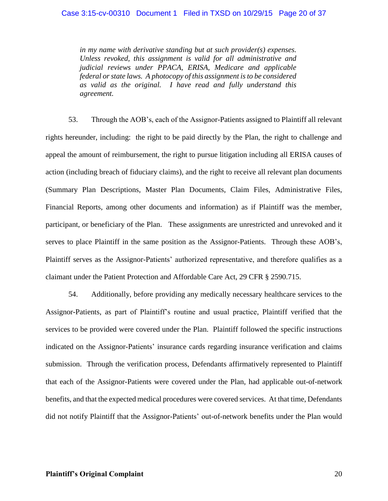*in my name with derivative standing but at such provider(s) expenses. Unless revoked, this assignment is valid for all administrative and judicial reviews under PPACA, ERISA, Medicare and applicable federal or state laws. A photocopy of this assignment is to be considered as valid as the original. I have read and fully understand this agreement.*

53. Through the AOB's, each of the Assignor-Patients assigned to Plaintiff all relevant rights hereunder, including: the right to be paid directly by the Plan, the right to challenge and appeal the amount of reimbursement, the right to pursue litigation including all ERISA causes of action (including breach of fiduciary claims), and the right to receive all relevant plan documents (Summary Plan Descriptions, Master Plan Documents, Claim Files, Administrative Files, Financial Reports, among other documents and information) as if Plaintiff was the member, participant, or beneficiary of the Plan. These assignments are unrestricted and unrevoked and it serves to place Plaintiff in the same position as the Assignor-Patients. Through these AOB's, Plaintiff serves as the Assignor-Patients' authorized representative, and therefore qualifies as a claimant under the Patient Protection and Affordable Care Act, 29 CFR § 2590.715.

54. Additionally, before providing any medically necessary healthcare services to the Assignor-Patients, as part of Plaintiff's routine and usual practice, Plaintiff verified that the services to be provided were covered under the Plan. Plaintiff followed the specific instructions indicated on the Assignor-Patients' insurance cards regarding insurance verification and claims submission. Through the verification process, Defendants affirmatively represented to Plaintiff that each of the Assignor-Patients were covered under the Plan, had applicable out-of-network benefits, and that the expected medical procedures were covered services. At that time, Defendants did not notify Plaintiff that the Assignor-Patients' out-of-network benefits under the Plan would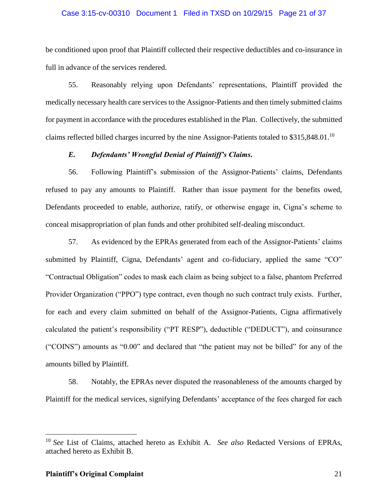## Case 3:15-cv-00310 Document 1 Filed in TXSD on 10/29/15 Page 21 of 37

be conditioned upon proof that Plaintiff collected their respective deductibles and co-insurance in full in advance of the services rendered.

55. Reasonably relying upon Defendants' representations, Plaintiff provided the medically necessary health care services to the Assignor-Patients and then timely submitted claims for payment in accordance with the procedures established in the Plan. Collectively, the submitted claims reflected billed charges incurred by the nine Assignor-Patients totaled to  $$315,848.01$ .<sup>10</sup>

# *E. Defendants' Wrongful Denial of Plaintiff's Claims.*

56. Following Plaintiff's submission of the Assignor-Patients' claims, Defendants refused to pay any amounts to Plaintiff. Rather than issue payment for the benefits owed, Defendants proceeded to enable, authorize, ratify, or otherwise engage in, Cigna's scheme to conceal misappropriation of plan funds and other prohibited self-dealing misconduct.

57. As evidenced by the EPRAs generated from each of the Assignor-Patients' claims submitted by Plaintiff, Cigna, Defendants' agent and co-fiduciary, applied the same "CO" "Contractual Obligation" codes to mask each claim as being subject to a false, phantom Preferred Provider Organization ("PPO") type contract, even though no such contract truly exists. Further, for each and every claim submitted on behalf of the Assignor-Patients, Cigna affirmatively calculated the patient's responsibility ("PT RESP"), deductible ("DEDUCT"), and coinsurance ("COINS") amounts as "0.00" and declared that "the patient may not be billed" for any of the amounts billed by Plaintiff.

58. Notably, the EPRAs never disputed the reasonableness of the amounts charged by Plaintiff for the medical services, signifying Defendants' acceptance of the fees charged for each

<sup>10</sup> *See* List of Claims, attached hereto as Exhibit A*. See also* Redacted Versions of EPRAs, attached hereto as Exhibit B.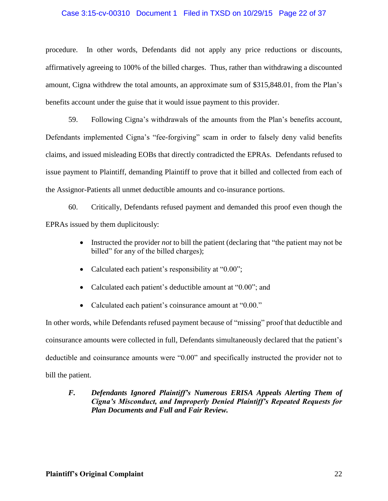# Case 3:15-cv-00310 Document 1 Filed in TXSD on 10/29/15 Page 22 of 37

procedure. In other words, Defendants did not apply any price reductions or discounts, affirmatively agreeing to 100% of the billed charges. Thus, rather than withdrawing a discounted amount, Cigna withdrew the total amounts, an approximate sum of \$315,848.01, from the Plan's benefits account under the guise that it would issue payment to this provider.

59. Following Cigna's withdrawals of the amounts from the Plan's benefits account, Defendants implemented Cigna's "fee-forgiving" scam in order to falsely deny valid benefits claims, and issued misleading EOBs that directly contradicted the EPRAs. Defendants refused to issue payment to Plaintiff, demanding Plaintiff to prove that it billed and collected from each of the Assignor-Patients all unmet deductible amounts and co-insurance portions.

60. Critically, Defendants refused payment and demanded this proof even though the EPRAs issued by them duplicitously:

- Instructed the provider *not* to bill the patient (declaring that "the patient may not be billed" for any of the billed charges);
- Calculated each patient's responsibility at "0.00";
- Calculated each patient's deductible amount at "0.00"; and
- Calculated each patient's coinsurance amount at "0.00."

In other words, while Defendants refused payment because of "missing" proof that deductible and coinsurance amounts were collected in full, Defendants simultaneously declared that the patient's deductible and coinsurance amounts were "0.00" and specifically instructed the provider not to bill the patient.

# *F. Defendants Ignored Plaintiff's Numerous ERISA Appeals Alerting Them of Cigna's Misconduct, and Improperly Denied Plaintiff's Repeated Requests for Plan Documents and Full and Fair Review.*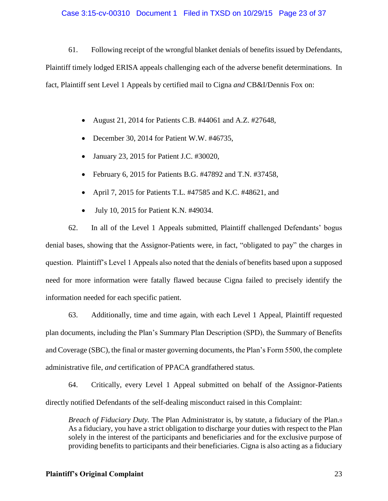# Case 3:15-cv-00310 Document 1 Filed in TXSD on 10/29/15 Page 23 of 37

61. Following receipt of the wrongful blanket denials of benefits issued by Defendants, Plaintiff timely lodged ERISA appeals challenging each of the adverse benefit determinations. In fact, Plaintiff sent Level 1 Appeals by certified mail to Cigna *and* CB&I/Dennis Fox on:

- August 21, 2014 for Patients C.B. #44061 and A.Z. #27648,
- December 30, 2014 for Patient W.W. #46735,
- January 23, 2015 for Patient J.C. #30020,
- February 6, 2015 for Patients B.G. #47892 and T.N. #37458,
- April 7, 2015 for Patients T.L. #47585 and K.C. #48621, and
- July 10, 2015 for Patient K.N. #49034.

62. In all of the Level 1 Appeals submitted, Plaintiff challenged Defendants' bogus denial bases, showing that the Assignor-Patients were, in fact, "obligated to pay" the charges in question. Plaintiff's Level 1 Appeals also noted that the denials of benefits based upon a supposed need for more information were fatally flawed because Cigna failed to precisely identify the information needed for each specific patient.

63. Additionally, time and time again, with each Level 1 Appeal, Plaintiff requested plan documents, including the Plan's Summary Plan Description (SPD), the Summary of Benefits and Coverage (SBC), the final or master governing documents, the Plan's Form 5500, the complete administrative file, *and* certification of PPACA grandfathered status.

64. Critically, every Level 1 Appeal submitted on behalf of the Assignor-Patients directly notified Defendants of the self-dealing misconduct raised in this Complaint:

*Breach of Fiduciary Duty.* The Plan Administrator is, by statute, a fiduciary of the Plan.<sup>9</sup> As a fiduciary, you have a strict obligation to discharge your duties with respect to the Plan solely in the interest of the participants and beneficiaries and for the exclusive purpose of providing benefits to participants and their beneficiaries. Cigna is also acting as a fiduciary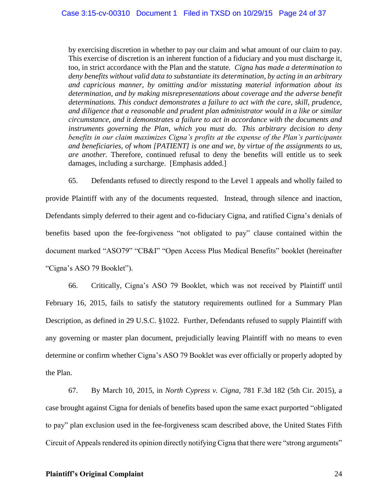by exercising discretion in whether to pay our claim and what amount of our claim to pay. This exercise of discretion is an inherent function of a fiduciary and you must discharge it, too, in strict accordance with the Plan and the statute*. Cigna has made a determination to deny benefits without valid data to substantiate its determination, by acting in an arbitrary and capricious manner, by omitting and/or misstating material information about its determination, and by making misrepresentations about coverage and the adverse benefit determinations. This conduct demonstrates a failure to act with the care, skill, prudence, and diligence that a reasonable and prudent plan administrator would in a like or similar circumstance, and it demonstrates a failure to act in accordance with the documents and instruments governing the Plan, which you must do. This arbitrary decision to deny benefits in our claim maximizes Cigna's profits at the expense of the Plan's participants and beneficiaries, of whom [PATIENT] is one and we, by virtue of the assignments to us, are another.* Therefore, continued refusal to deny the benefits will entitle us to seek damages, including a surcharge. [Emphasis added.]

65. Defendants refused to directly respond to the Level 1 appeals and wholly failed to provide Plaintiff with any of the documents requested. Instead, through silence and inaction, Defendants simply deferred to their agent and co-fiduciary Cigna, and ratified Cigna's denials of benefits based upon the fee-forgiveness "not obligated to pay" clause contained within the document marked "ASO79" "CB&I" "Open Access Plus Medical Benefits" booklet (hereinafter "Cigna's ASO 79 Booklet").

66. Critically, Cigna's ASO 79 Booklet, which was not received by Plaintiff until February 16, 2015, fails to satisfy the statutory requirements outlined for a Summary Plan Description, as defined in 29 U.S.C. §1022. Further, Defendants refused to supply Plaintiff with any governing or master plan document, prejudicially leaving Plaintiff with no means to even determine or confirm whether Cigna's ASO 79 Booklet was ever officially or properly adopted by the Plan.

67. By March 10, 2015, in *North Cypress v. Cigna,* 781 F.3d 182 (5th Cir. 2015), a case brought against Cigna for denials of benefits based upon the same exact purported "obligated to pay" plan exclusion used in the fee-forgiveness scam described above, the United States Fifth Circuit of Appeals rendered its opinion directly notifying Cigna that there were "strong arguments"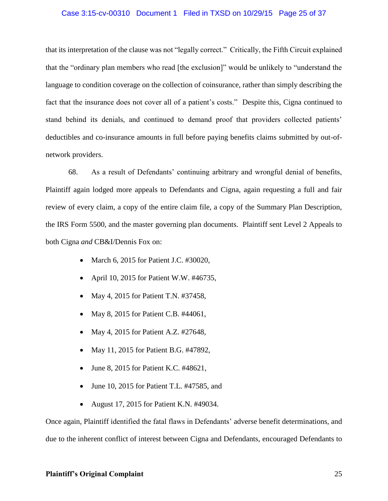# Case 3:15-cv-00310 Document 1 Filed in TXSD on 10/29/15 Page 25 of 37

that its interpretation of the clause was not "legally correct." Critically, the Fifth Circuit explained that the "ordinary plan members who read [the exclusion]" would be unlikely to "understand the language to condition coverage on the collection of coinsurance, rather than simply describing the fact that the insurance does not cover all of a patient's costs." Despite this, Cigna continued to stand behind its denials, and continued to demand proof that providers collected patients' deductibles and co-insurance amounts in full before paying benefits claims submitted by out-ofnetwork providers.

68. As a result of Defendants' continuing arbitrary and wrongful denial of benefits, Plaintiff again lodged more appeals to Defendants and Cigna, again requesting a full and fair review of every claim, a copy of the entire claim file, a copy of the Summary Plan Description, the IRS Form 5500, and the master governing plan documents. Plaintiff sent Level 2 Appeals to both Cigna *and* CB&I/Dennis Fox on:

- March 6, 2015 for Patient J.C. #30020,
- April 10, 2015 for Patient W.W. #46735,
- May 4, 2015 for Patient T.N. #37458,
- May 8, 2015 for Patient C.B. #44061,
- May 4, 2015 for Patient A.Z. #27648,
- May 11, 2015 for Patient B.G. #47892,
- June 8, 2015 for Patient K.C. #48621,
- June 10, 2015 for Patient T.L. #47585, and
- August 17, 2015 for Patient K.N. #49034.

Once again, Plaintiff identified the fatal flaws in Defendants' adverse benefit determinations, and due to the inherent conflict of interest between Cigna and Defendants, encouraged Defendants to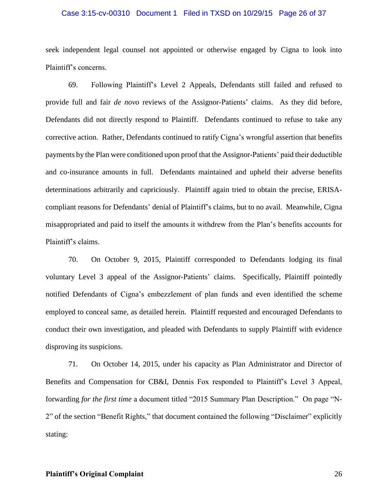## Case 3:15-cv-00310 Document 1 Filed in TXSD on 10/29/15 Page 26 of 37

seek independent legal counsel not appointed or otherwise engaged by Cigna to look into Plaintiff's concerns.

69. Following Plaintiff's Level 2 Appeals, Defendants still failed and refused to provide full and fair *de novo* reviews of the Assignor-Patients' claims. As they did before, Defendants did not directly respond to Plaintiff. Defendants continued to refuse to take any corrective action. Rather, Defendants continued to ratify Cigna's wrongful assertion that benefits payments by the Plan were conditioned upon proof that the Assignor-Patients' paid their deductible and co-insurance amounts in full. Defendants maintained and upheld their adverse benefits determinations arbitrarily and capriciously. Plaintiff again tried to obtain the precise, ERISAcompliant reasons for Defendants' denial of Plaintiff's claims, but to no avail. Meanwhile, Cigna misappropriated and paid to itself the amounts it withdrew from the Plan's benefits accounts for Plaintiff's claims.

70. On October 9, 2015, Plaintiff corresponded to Defendants lodging its final voluntary Level 3 appeal of the Assignor-Patients' claims. Specifically, Plaintiff pointedly notified Defendants of Cigna's embezzlement of plan funds and even identified the scheme employed to conceal same, as detailed herein. Plaintiff requested and encouraged Defendants to conduct their own investigation, and pleaded with Defendants to supply Plaintiff with evidence disproving its suspicions.

71. On October 14, 2015, under his capacity as Plan Administrator and Director of Benefits and Compensation for CB&I, Dennis Fox responded to Plaintiff's Level 3 Appeal, forwarding *for the first time* a document titled "2015 Summary Plan Description." On page "N-2" of the section "Benefit Rights," that document contained the following "Disclaimer" explicitly stating:

# **Plaintiff's Original Complaint** 26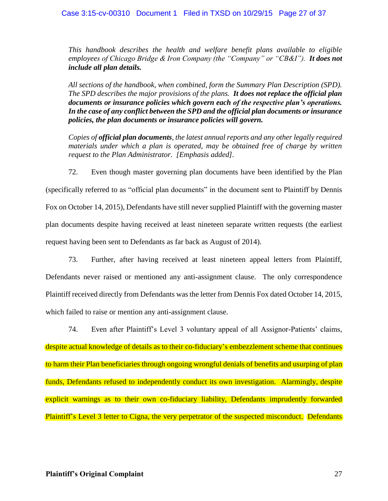*This handbook describes the health and welfare benefit plans available to eligible employees of Chicago Bridge & Iron Company (the "Company" or "CB&I"). It does not include all plan details.*

*All sections of the handbook, when combined, form the Summary Plan Description (SPD). The SPD describes the major provisions of the plans. It does not replace the official plan documents or insurance policies which govern each of the respective plan's operations. In the case of any conflict between the SPD and the official plan documents or insurance policies, the plan documents or insurance policies will govern.*

*Copies of official plan documents, the latest annual reports and any other legally required materials under which a plan is operated, may be obtained free of charge by written request to the Plan Administrator. [Emphasis added].*

72. Even though master governing plan documents have been identified by the Plan (specifically referred to as "official plan documents" in the document sent to Plaintiff by Dennis Fox on October 14, 2015), Defendants have still never supplied Plaintiff with the governing master plan documents despite having received at least nineteen separate written requests (the earliest request having been sent to Defendants as far back as August of 2014).

73. Further, after having received at least nineteen appeal letters from Plaintiff, Defendants never raised or mentioned any anti-assignment clause. The only correspondence Plaintiff received directly from Defendants was the letter from Dennis Fox dated October 14, 2015, which failed to raise or mention any anti-assignment clause.

74. Even after Plaintiff's Level 3 voluntary appeal of all Assignor-Patients' claims, despite actual knowledge of details as to their co-fiduciary's embezzlement scheme that continues to harm their Plan beneficiaries through ongoing wrongful denials of benefits and usurping of plan funds, Defendants refused to independently conduct its own investigation. Alarmingly, despite explicit warnings as to their own co-fiduciary liability, Defendants imprudently forwarded Plaintiff's Level 3 letter to Cigna, the very perpetrator of the suspected misconduct. Defendants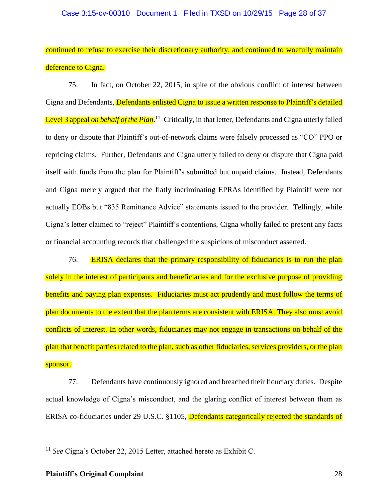continued to refuse to exercise their discretionary authority, and continued to woefully maintain deference to Cigna.

75. In fact, on October 22, 2015, in spite of the obvious conflict of interest between Cigna and Defendants, **Defendants enlisted Cigna to issue a written response to Plaintiff's detailed** Level 3 appeal *on behalf of the Plan*.<sup>11</sup> Critically, in that letter, Defendants and Cigna utterly failed to deny or dispute that Plaintiff's out-of-network claims were falsely processed as "CO" PPO or repricing claims. Further, Defendants and Cigna utterly failed to deny or dispute that Cigna paid itself with funds from the plan for Plaintiff's submitted but unpaid claims. Instead, Defendants and Cigna merely argued that the flatly incriminating EPRAs identified by Plaintiff were not actually EOBs but "835 Remittance Advice" statements issued to the provider. Tellingly, while Cigna's letter claimed to "reject" Plaintiff's contentions, Cigna wholly failed to present any facts or financial accounting records that challenged the suspicions of misconduct asserted.

76. ERISA declares that the primary responsibility of fiduciaries is to run the plan solely in the interest of participants and beneficiaries and for the exclusive purpose of providing benefits and paying plan expenses. Fiduciaries must act prudently and must follow the terms of plan documents to the extent that the plan terms are consistent with ERISA. They also must avoid conflicts of interest. In other words, fiduciaries may not engage in transactions on behalf of the plan that benefit parties related to the plan, such as other fiduciaries, services providers, or the plan sponsor.

77. Defendants have continuously ignored and breached their fiduciary duties. Despite actual knowledge of Cigna's misconduct, and the glaring conflict of interest between them as ERISA co-fiduciaries under 29 U.S.C. §1105, Defendants categorically rejected the standards of

<sup>11</sup> *See* Cigna's October 22, 2015 Letter, attached hereto as Exhibit C.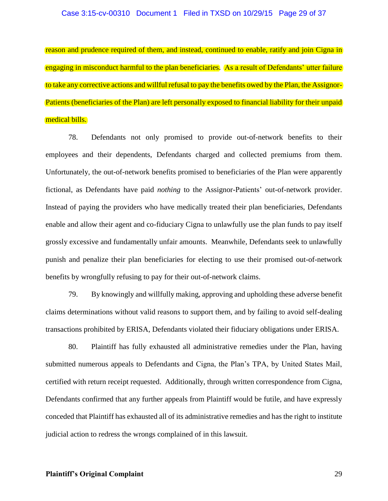### Case 3:15-cv-00310 Document 1 Filed in TXSD on 10/29/15 Page 29 of 37

reason and prudence required of them, and instead, continued to enable, ratify and join Cigna in engaging in misconduct harmful to the plan beneficiaries. As a result of Defendants' utter failure to take any corrective actions and willful refusal to pay the benefits owed by the Plan, the Assignor-Patients (beneficiaries of the Plan) are left personally exposed to financial liability for their unpaid medical bills.

78. Defendants not only promised to provide out-of-network benefits to their employees and their dependents, Defendants charged and collected premiums from them. Unfortunately, the out-of-network benefits promised to beneficiaries of the Plan were apparently fictional, as Defendants have paid *nothing* to the Assignor-Patients' out-of-network provider. Instead of paying the providers who have medically treated their plan beneficiaries, Defendants enable and allow their agent and co-fiduciary Cigna to unlawfully use the plan funds to pay itself grossly excessive and fundamentally unfair amounts. Meanwhile, Defendants seek to unlawfully punish and penalize their plan beneficiaries for electing to use their promised out-of-network benefits by wrongfully refusing to pay for their out-of-network claims.

79. By knowingly and willfully making, approving and upholding these adverse benefit claims determinations without valid reasons to support them, and by failing to avoid self-dealing transactions prohibited by ERISA, Defendants violated their fiduciary obligations under ERISA.

80. Plaintiff has fully exhausted all administrative remedies under the Plan, having submitted numerous appeals to Defendants and Cigna, the Plan's TPA, by United States Mail, certified with return receipt requested. Additionally, through written correspondence from Cigna, Defendants confirmed that any further appeals from Plaintiff would be futile, and have expressly conceded that Plaintiff has exhausted all of its administrative remedies and has the right to institute judicial action to redress the wrongs complained of in this lawsuit.

# **Plaintiff's Original Complaint** 29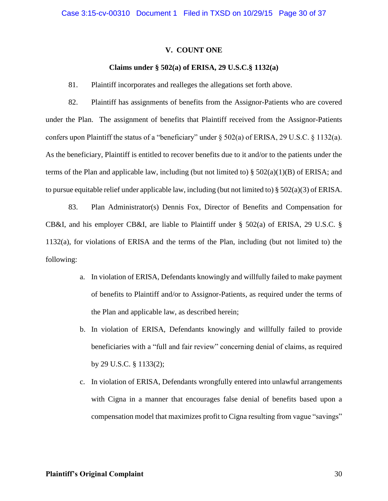### **V. COUNT ONE**

## **Claims under § 502(a) of ERISA, 29 U.S.C.§ 1132(a)**

81. Plaintiff incorporates and realleges the allegations set forth above.

82. Plaintiff has assignments of benefits from the Assignor-Patients who are covered under the Plan. The assignment of benefits that Plaintiff received from the Assignor-Patients confers upon Plaintiff the status of a "beneficiary" under § 502(a) of ERISA, 29 U.S.C. § 1132(a). As the beneficiary, Plaintiff is entitled to recover benefits due to it and/or to the patients under the terms of the Plan and applicable law, including (but not limited to) § 502(a)(1)(B) of ERISA; and to pursue equitable relief under applicable law, including (but not limited to)  $\S 502(a)(3)$  of ERISA.

83. Plan Administrator(s) Dennis Fox, Director of Benefits and Compensation for CB&I, and his employer CB&I, are liable to Plaintiff under § 502(a) of ERISA, 29 U.S.C. § 1132(a), for violations of ERISA and the terms of the Plan, including (but not limited to) the following:

- a. In violation of ERISA, Defendants knowingly and willfully failed to make payment of benefits to Plaintiff and/or to Assignor-Patients, as required under the terms of the Plan and applicable law, as described herein;
- b. In violation of ERISA, Defendants knowingly and willfully failed to provide beneficiaries with a "full and fair review" concerning denial of claims, as required by 29 U.S.C. § 1133(2);
- c. In violation of ERISA, Defendants wrongfully entered into unlawful arrangements with Cigna in a manner that encourages false denial of benefits based upon a compensation model that maximizes profit to Cigna resulting from vague "savings"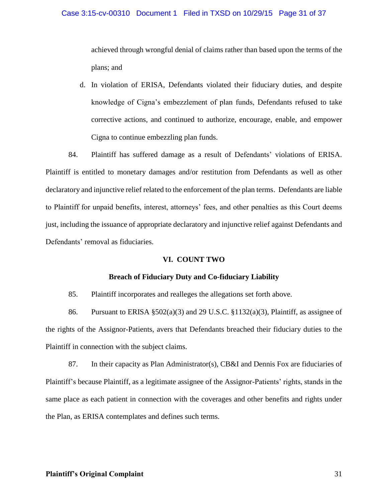## Case 3:15-cv-00310 Document 1 Filed in TXSD on 10/29/15 Page 31 of 37

achieved through wrongful denial of claims rather than based upon the terms of the plans; and

d. In violation of ERISA, Defendants violated their fiduciary duties, and despite knowledge of Cigna's embezzlement of plan funds, Defendants refused to take corrective actions, and continued to authorize, encourage, enable, and empower Cigna to continue embezzling plan funds.

84. Plaintiff has suffered damage as a result of Defendants' violations of ERISA. Plaintiff is entitled to monetary damages and/or restitution from Defendants as well as other declaratory and injunctive relief related to the enforcement of the plan terms. Defendants are liable to Plaintiff for unpaid benefits, interest, attorneys' fees, and other penalties as this Court deems just, including the issuance of appropriate declaratory and injunctive relief against Defendants and Defendants' removal as fiduciaries.

# **VI. COUNT TWO**

## **Breach of Fiduciary Duty and Co-fiduciary Liability**

85. Plaintiff incorporates and realleges the allegations set forth above.

86. Pursuant to ERISA  $\S 502(a)(3)$  and 29 U.S.C.  $\S 1132(a)(3)$ , Plaintiff, as assignee of the rights of the Assignor-Patients, avers that Defendants breached their fiduciary duties to the Plaintiff in connection with the subject claims.

87. In their capacity as Plan Administrator(s), CB&I and Dennis Fox are fiduciaries of Plaintiff's because Plaintiff, as a legitimate assignee of the Assignor-Patients' rights, stands in the same place as each patient in connection with the coverages and other benefits and rights under the Plan, as ERISA contemplates and defines such terms.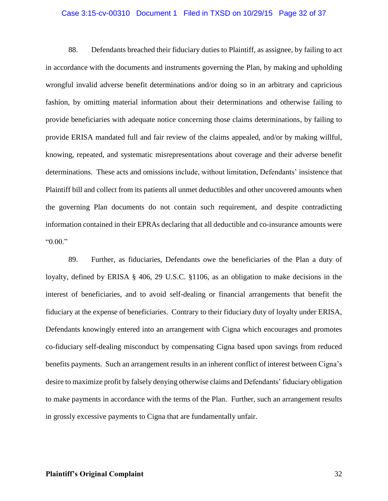## Case 3:15-cv-00310 Document 1 Filed in TXSD on 10/29/15 Page 32 of 37

88. Defendants breached their fiduciary duties to Plaintiff, as assignee, by failing to act in accordance with the documents and instruments governing the Plan, by making and upholding wrongful invalid adverse benefit determinations and/or doing so in an arbitrary and capricious fashion, by omitting material information about their determinations and otherwise failing to provide beneficiaries with adequate notice concerning those claims determinations, by failing to provide ERISA mandated full and fair review of the claims appealed, and/or by making willful, knowing, repeated, and systematic misrepresentations about coverage and their adverse benefit determinations. These acts and omissions include, without limitation, Defendants' insistence that Plaintiff bill and collect from its patients all unmet deductibles and other uncovered amounts when the governing Plan documents do not contain such requirement, and despite contradicting information contained in their EPRAs declaring that all deductible and co-insurance amounts were "0.00."

89. Further, as fiduciaries, Defendants owe the beneficiaries of the Plan a duty of loyalty, defined by ERISA § 406, 29 U.S.C. §1106, as an obligation to make decisions in the interest of beneficiaries, and to avoid self-dealing or financial arrangements that benefit the fiduciary at the expense of beneficiaries. Contrary to their fiduciary duty of loyalty under ERISA, Defendants knowingly entered into an arrangement with Cigna which encourages and promotes co-fiduciary self-dealing misconduct by compensating Cigna based upon savings from reduced benefits payments. Such an arrangement results in an inherent conflict of interest between Cigna's desire to maximize profit by falsely denying otherwise claims and Defendants' fiduciary obligation to make payments in accordance with the terms of the Plan. Further, such an arrangement results in grossly excessive payments to Cigna that are fundamentally unfair.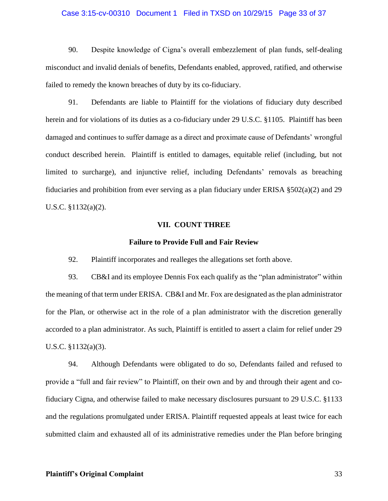## Case 3:15-cv-00310 Document 1 Filed in TXSD on 10/29/15 Page 33 of 37

90. Despite knowledge of Cigna's overall embezzlement of plan funds, self-dealing misconduct and invalid denials of benefits, Defendants enabled, approved, ratified, and otherwise failed to remedy the known breaches of duty by its co-fiduciary.

91. Defendants are liable to Plaintiff for the violations of fiduciary duty described herein and for violations of its duties as a co-fiduciary under 29 U.S.C. §1105. Plaintiff has been damaged and continues to suffer damage as a direct and proximate cause of Defendants' wrongful conduct described herein. Plaintiff is entitled to damages, equitable relief (including, but not limited to surcharge), and injunctive relief, including Defendants' removals as breaching fiduciaries and prohibition from ever serving as a plan fiduciary under ERISA  $\S502(a)(2)$  and 29 U.S.C. §1132(a)(2).

## **VII. COUNT THREE**

### **Failure to Provide Full and Fair Review**

92. Plaintiff incorporates and realleges the allegations set forth above.

93. CB&I and its employee Dennis Fox each qualify as the "plan administrator" within the meaning of that term under ERISA. CB&I and Mr. Fox are designated as the plan administrator for the Plan, or otherwise act in the role of a plan administrator with the discretion generally accorded to a plan administrator. As such, Plaintiff is entitled to assert a claim for relief under 29 U.S.C. §1132(a)(3).

94. Although Defendants were obligated to do so, Defendants failed and refused to provide a "full and fair review" to Plaintiff, on their own and by and through their agent and cofiduciary Cigna, and otherwise failed to make necessary disclosures pursuant to 29 U.S.C. §1133 and the regulations promulgated under ERISA. Plaintiff requested appeals at least twice for each submitted claim and exhausted all of its administrative remedies under the Plan before bringing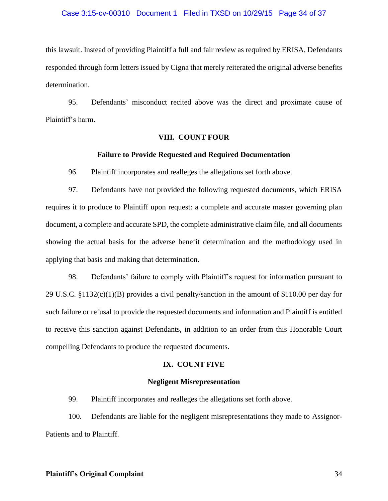## Case 3:15-cv-00310 Document 1 Filed in TXSD on 10/29/15 Page 34 of 37

this lawsuit. Instead of providing Plaintiff a full and fair review as required by ERISA, Defendants responded through form letters issued by Cigna that merely reiterated the original adverse benefits determination.

95. Defendants' misconduct recited above was the direct and proximate cause of Plaintiff's harm.

## **VIII. COUNT FOUR**

## **Failure to Provide Requested and Required Documentation**

96. Plaintiff incorporates and realleges the allegations set forth above.

97. Defendants have not provided the following requested documents, which ERISA requires it to produce to Plaintiff upon request: a complete and accurate master governing plan document, a complete and accurate SPD, the complete administrative claim file, and all documents showing the actual basis for the adverse benefit determination and the methodology used in applying that basis and making that determination.

98. Defendants' failure to comply with Plaintiff's request for information pursuant to 29 U.S.C. §1132(c)(1)(B) provides a civil penalty/sanction in the amount of \$110.00 per day for such failure or refusal to provide the requested documents and information and Plaintiff is entitled to receive this sanction against Defendants, in addition to an order from this Honorable Court compelling Defendants to produce the requested documents.

## **IX. COUNT FIVE**

## **Negligent Misrepresentation**

99. Plaintiff incorporates and realleges the allegations set forth above.

100. Defendants are liable for the negligent misrepresentations they made to Assignor-Patients and to Plaintiff.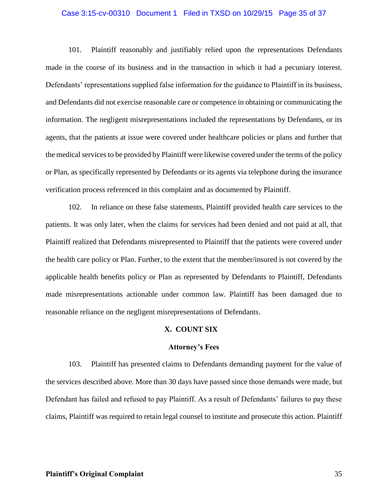## Case 3:15-cv-00310 Document 1 Filed in TXSD on 10/29/15 Page 35 of 37

101. Plaintiff reasonably and justifiably relied upon the representations Defendants made in the course of its business and in the transaction in which it had a pecuniary interest. Defendants' representations supplied false information for the guidance to Plaintiff in its business, and Defendants did not exercise reasonable care or competence in obtaining or communicating the information. The negligent misrepresentations included the representations by Defendants, or its agents, that the patients at issue were covered under healthcare policies or plans and further that the medical services to be provided by Plaintiff were likewise covered under the terms of the policy or Plan, as specifically represented by Defendants or its agents via telephone during the insurance verification process referenced in this complaint and as documented by Plaintiff.

102. In reliance on these false statements, Plaintiff provided health care services to the patients. It was only later, when the claims for services had been denied and not paid at all, that Plaintiff realized that Defendants misrepresented to Plaintiff that the patients were covered under the health care policy or Plan. Further, to the extent that the member/insured is not covered by the applicable health benefits policy or Plan as represented by Defendants to Plaintiff, Defendants made misrepresentations actionable under common law. Plaintiff has been damaged due to reasonable reliance on the negligent misrepresentations of Defendants.

### **X. COUNT SIX**

#### **Attorney's Fees**

103. Plaintiff has presented claims to Defendants demanding payment for the value of the services described above. More than 30 days have passed since those demands were made, but Defendant has failed and refused to pay Plaintiff. As a result of Defendants' failures to pay these claims, Plaintiff was required to retain legal counsel to institute and prosecute this action. Plaintiff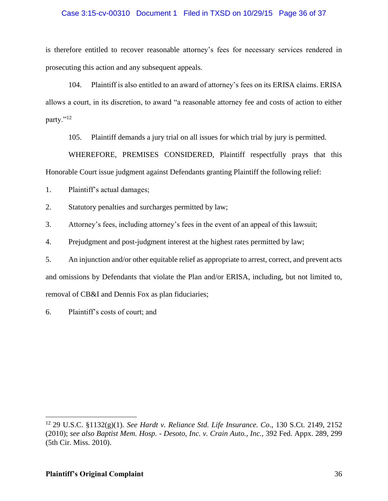# Case 3:15-cv-00310 Document 1 Filed in TXSD on 10/29/15 Page 36 of 37

is therefore entitled to recover reasonable attorney's fees for necessary services rendered in prosecuting this action and any subsequent appeals.

104. Plaintiff is also entitled to an award of attorney's fees on its ERISA claims. ERISA allows a court, in its discretion, to award "a reasonable attorney fee and costs of action to either party."<sup>12</sup>

105. Plaintiff demands a jury trial on all issues for which trial by jury is permitted.

WHEREFORE, PREMISES CONSIDERED, Plaintiff respectfully prays that this Honorable Court issue judgment against Defendants granting Plaintiff the following relief:

1. Plaintiff's actual damages;

2. Statutory penalties and surcharges permitted by law;

3. Attorney's fees, including attorney's fees in the event of an appeal of this lawsuit;

4. Prejudgment and post-judgment interest at the highest rates permitted by law;

5. An injunction and/or other equitable relief as appropriate to arrest, correct, and prevent acts and omissions by Defendants that violate the Plan and/or ERISA, including, but not limited to, removal of CB&I and Dennis Fox as plan fiduciaries;

6. Plaintiff's costs of court; and

<sup>12</sup> 29 U.S.C. §1132(g)(1). *See Hardt v. Reliance Std. Life Insurance. Co*., 130 S.Ct. 2149, 2152 (2010); *see also Baptist Mem. Hosp. - Desoto, Inc. v. Crain Auto., Inc.,* 392 Fed. Appx. 289, 299 (5th Cir. Miss. 2010).